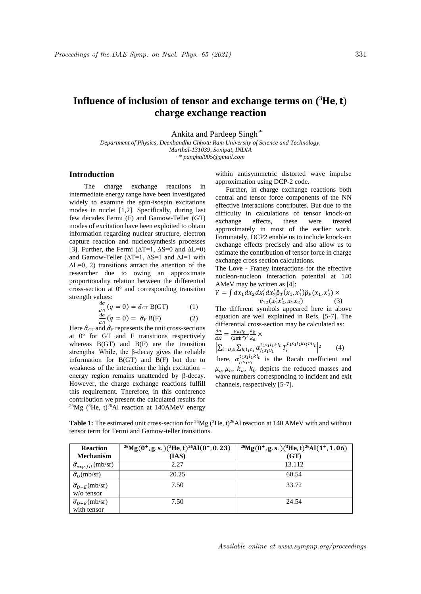## **Influence of inclusion of tensor and exchange terms on**  $(^{3}$ **He, t) charge exchange reaction**

Ankita and Pardeep Singh \*

*Department of Physics, Deenbandhu Chhotu Ram University of Science and Technology, Murthal-131039, Sonipat, INDIA . \* panghal005@gmail.com*

## **Introduction**

The charge exchange reactions in intermediate energy range have been investigated widely to examine the spin-isospin excitations modes in nuclei [1,2]. Specifically, during last few decades Fermi (F) and Gamow-Teller (GT) modes of excitation have been exploited to obtain information regarding nuclear structure, electron capture reaction and nucleosynthesis processes [3]. Further, the Fermi ( $\Delta T=1$ ,  $\Delta S=0$  and  $\Delta L=0$ ) and Gamow-Teller (∆T=1, ∆S=1 and ∆J=1 with  $\Delta L=0$ , 2) transitions attract the attention of the researcher due to owing an approximate proportionality relation between the differential cross-section at  $0^{\circ}$  and corresponding transition strength values:

$$
\frac{d\sigma}{d\Omega}(q=0) = \hat{\sigma}_{GT} B(GT)
$$
 (1)  

$$
\frac{d\sigma}{d\sigma}(q=0) = \hat{\sigma}_{GT} B(T)
$$
 (2)

$$
\frac{d\sigma}{d\Omega}(q=0) = \hat{\sigma}_{\rm F} B(F) \tag{2}
$$

Here  $\hat{\sigma}_{GT}$  and  $\hat{\sigma}_F$  represents the unit cross-sections at 0° for GT and F transitions respectively whereas  $B(GT)$  and  $B(F)$  are the transition strengths. While, the β-decay gives the reliable information for B(GT) and B(F) but due to weakness of the interaction the high excitation – energy region remains unattended by β-decay. However, the charge exchange reactions fulfill this requirement. Therefore, in this conference contribution we present the calculated results for <sup>26</sup>Mg (<sup>3</sup>He, t)<sup>26</sup>Al reaction at 140AMeV energy

within antisymmetric distorted wave impulse approximation using DCP-2 code.

 Further, in charge exchange reactions both central and tensor force components of the NN effective interactions contributes. But due to the difficulty in calculations of tensor knock-on exchange effects, these were treated approximately in most of the earlier work. Fortunately, DCP2 enable us to include knock-on exchange effects precisely and also allow us to estimate the contribution of tensor force in charge exchange cross section calculations.

The Love - Franey interactions for the effective nucleon-nucleon interaction potential at 140 AMeV may be written as [4]:

$$
V = \int dx_1 dx_2 dx'_1 dx'_2 \hat{\rho}_T(x_1, x'_1) \hat{\rho}_P(x_1, x'_2) \times \n v_{12}(x'_1 x'_2, x_1 x_2)
$$
\n(3)

The different symbols appeared here in above equation are well explained in Refs. [5-7]. The differential cross-section may be calculated as:  $\frac{d\sigma}{d\phi} = \frac{\mu_a \mu_b}{(2\pi^2)^2} \frac{k_b}{k} \times$ 

 $\overline{d\Omega}$  $(2\pi\hbar^2)^2 k_a$  $\left|\sum_{i=D,E}\sum_{k,l_1t_1}\alpha_{j_1s_1v_1}^{t_1s_1l_1kl_t}\,T_i^{t_1s_1l_1kl_tm_l} \right| ^2$  $(4)$ here,  $\alpha_{j_1s_1v_1}^{t_1s_1l_1kl_t}$  is the Racah coefficient and  $\mu_a, \mu_b, k_a, k_b$  depicts the reduced masses and wave numbers corresponding to incident and exit channels, respectively [5-7].

**Table 1:** The estimated unit cross-section for <sup>26</sup>Mg ( ${}^{3}$ He, t)<sup>26</sup>Al reaction at 140 AMeV with and without tensor term for Fermi and Gamow-teller transitions.

| <b>Reaction</b>                  | $^{26}Mg(0^+, g.s.)$ ( <sup>3</sup> He, t) <sup>26</sup> Al(0 <sup>+</sup> , 0.23) | $^{26}Mg(0^+, g. s.)(^{3}He, t)^{26}Al(1^+, 1.06)$ |
|----------------------------------|------------------------------------------------------------------------------------|----------------------------------------------------|
| <b>Mechanism</b>                 | (IAS)                                                                              | (GT)                                               |
| $\hat{\sigma}_{exp.fit}$ (mb/sr) | 2.27                                                                               | 13.112                                             |
| $\hat{\sigma}_D$ (mb/sr)         | 20.25                                                                              | 60.54                                              |
| $\hat{\sigma}_{D+E}$ (mb/sr)     | 7.50                                                                               | 33.72                                              |
| $w$ /o tensor                    |                                                                                    |                                                    |
| $\hat{\sigma}_{D+E}$ (mb/sr)     | 7.50                                                                               | 24.54                                              |
| with tensor                      |                                                                                    |                                                    |